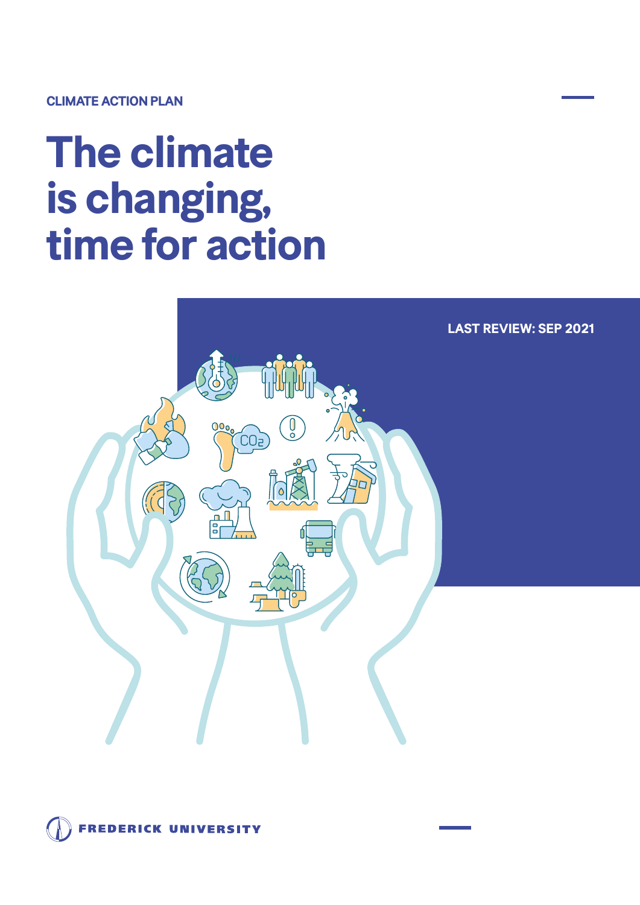## **CLIMATE ACTION PLAN**

## **The climate is changing, time for action**



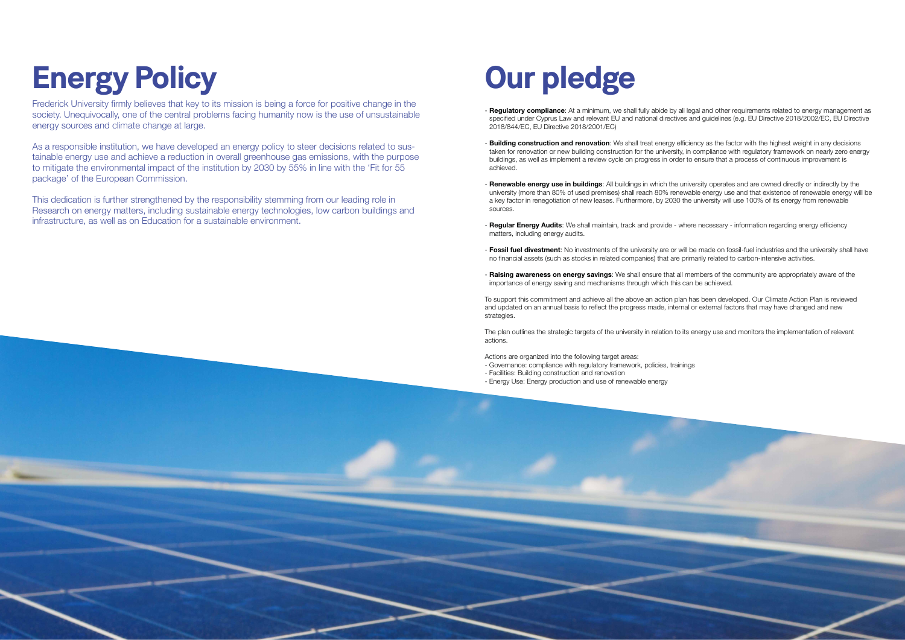## **Energy Policy**

Frederick University firmly believes that key to its mission is being a force for positive change in the society. Unequivocally, one of the central problems facing humanity now is the use of unsustainable energy sources and climate change at large.

As a responsible institution, we have developed an energy policy to steer decisions related to sustainable energy use and achieve a reduction in overall greenhouse gas emissions, with the purpose to mitigate the environmental impact of the institution by 2030 by 55% in line with the 'Fit for 55 package' of the European Commission.

This dedication is further strengthened by the responsibility stemming from our leading role in Research on energy matters, including sustainable energy technologies, low carbon buildings and infrastructure, as well as on Education for a sustainable environment.

## **Our pledge**

- **Regulatory compliance**: At a minimum, we shall fully abide by all legal and other requirements related to energy management as specified under Cyprus Law and relevant EU and national directives and guidelines (e.g. EU Directive 2018/2002/EC, EU Directive 2018/844/EC, EU Directive 2018/2001/EC)
- **Building construction and renovation**: We shall treat energy efficiency as the factor with the highest weight in any decisions taken for renovation or new building construction for the university, in compliance with regulatory framework on nearly zero energy buildings, as well as implement a review cycle on progress in order to ensure that a process of continuous improvement is achieved.
- **Renewable energy use in buildings**: All buildings in which the university operates and are owned directly or indirectly by the university (more than 80% of used premises) shall reach 80% renewable energy use and that existence of renewable energy will be a key factor in renegotiation of new leases. Furthermore, by 2030 the university will use 100% of its energy from renewable sources.
- **Regular Energy Audits**: We shall maintain, track and provide where necessary information regarding energy efficiency matters, including energy audits.
- **Fossil fuel divestment**: No investments of the university are or will be made on fossil-fuel industries and the university shall have no financial assets (such as stocks in related companies) that are primarily related to carbon-intensive activities.
- **Raising awareness on energy savings**: We shall ensure that all members of the community are appropriately aware of the importance of energy saving and mechanisms through which this can be achieved.

To support this commitment and achieve all the above an action plan has been developed. Our Climate Action Plan is reviewed and updated on an annual basis to reflect the progress made, internal or external factors that may have changed and new strategies.

The plan outlines the strategic targets of the university in relation to its energy use and monitors the implementation of relevant actions.

Actions are organized into the following target areas:

- Governance: compliance with regulatory framework, policies, trainings - Facilities: Building construction and renovation
- Energy Use: Energy production and use of renewable energy